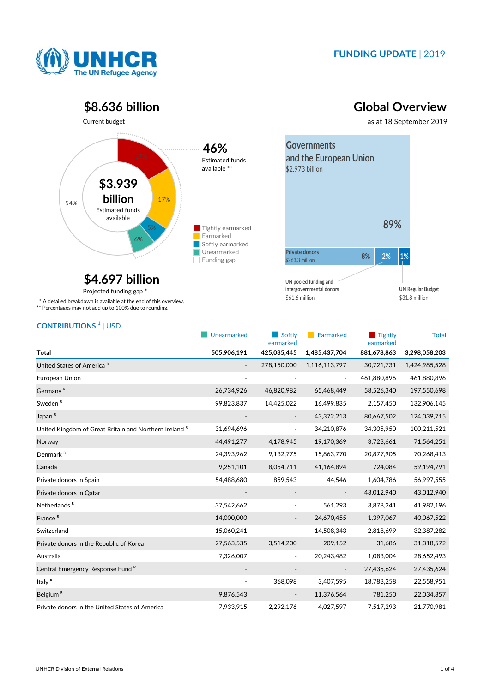

## **FUNDING UPDATE** | 2019



## **\$8.636 billion Global Overview**

Current budget as at 18 September 2019

\$31.8 million



# **\$4.697 billion**

Projected funding gap \*

 \* A detailed breakdown is available at the end of this overview. \*\* Percentages may not add up to 100% due to rounding.



\$61.6 million

### **CONTRIBUTIONS** <sup>1</sup> | USD

|                                                                   | Unearmarked              | Softly<br>٠<br>earmarked | Earmarked                | $\blacksquare$ Tightly<br>earmarked | <b>Total</b>  |
|-------------------------------------------------------------------|--------------------------|--------------------------|--------------------------|-------------------------------------|---------------|
| <b>Total</b>                                                      | 505,906,191              | 425,035,445              | 1,485,437,704            | 881,678,863                         | 3,298,058,203 |
| United States of America <sup>R</sup>                             |                          | 278,150,000              | 1,116,113,797            | 30,721,731                          | 1,424,985,528 |
| European Union                                                    |                          |                          | $\overline{\phantom{m}}$ | 461,880,896                         | 461,880,896   |
| Germany <sup>R</sup>                                              | 26,734,926               | 46,820,982               | 65,468,449               | 58,526,340                          | 197,550,698   |
| Sweden <sup>R</sup>                                               | 99,823,837               | 14,425,022               | 16,499,835               | 2,157,450                           | 132,906,145   |
| Japan <sup>R</sup>                                                |                          | $\overline{\phantom{a}}$ | 43,372,213               | 80,667,502                          | 124,039,715   |
| United Kingdom of Great Britain and Northern Ireland <sup>R</sup> | 31,694,696               | $\blacksquare$           | 34,210,876               | 34,305,950                          | 100,211,521   |
| Norway                                                            | 44,491,277               | 4,178,945                | 19,170,369               | 3,723,661                           | 71,564,251    |
| Denmark <sup>R</sup>                                              | 24,393,962               | 9,132,775                | 15,863,770               | 20,877,905                          | 70,268,413    |
| Canada                                                            | 9,251,101                | 8,054,711                | 41,164,894               | 724,084                             | 59,194,791    |
| Private donors in Spain                                           | 54,488,680               | 859,543                  | 44,546                   | 1,604,786                           | 56,997,555    |
| Private donors in Qatar                                           |                          |                          |                          | 43,012,940                          | 43,012,940    |
| Netherlands <sup>R</sup>                                          | 37,542,662               | $\blacksquare$           | 561,293                  | 3,878,241                           | 41,982,196    |
| France <sup>R</sup>                                               | 14,000,000               |                          | 24,670,455               | 1,397,067                           | 40,067,522    |
| Switzerland                                                       | 15,060,241               |                          | 14,508,343               | 2,818,699                           | 32,387,282    |
| Private donors in the Republic of Korea                           | 27,563,535               | 3,514,200                | 209,152                  | 31,686                              | 31,318,572    |
| Australia                                                         | 7,326,007                |                          | 20,243,482               | 1,083,004                           | 28,652,493    |
| Central Emergency Response Fund ™                                 |                          |                          | $\overline{\phantom{a}}$ | 27,435,624                          | 27,435,624    |
| Italy <sup>R</sup>                                                | $\overline{\phantom{a}}$ | 368,098                  | 3,407,595                | 18,783,258                          | 22,558,951    |
| Belgium <sup>R</sup>                                              | 9,876,543                | $\overline{\phantom{a}}$ | 11,376,564               | 781,250                             | 22,034,357    |
| Private donors in the United States of America                    | 7,933,915                | 2,292,176                | 4,027,597                | 7,517,293                           | 21,770,981    |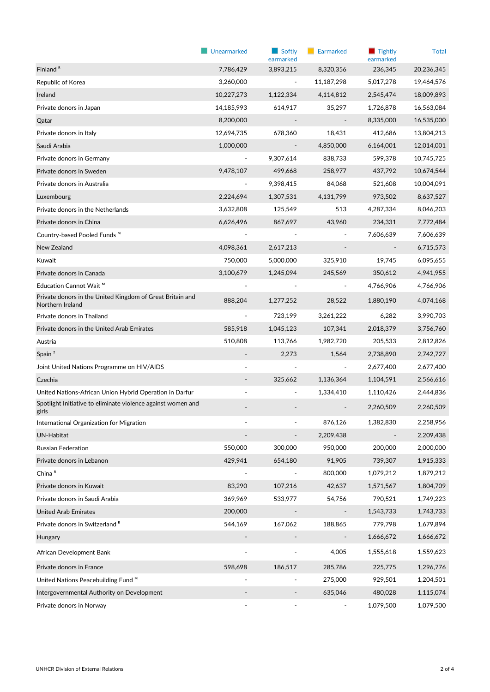|                                                                               | Unearmarked | $\blacksquare$ Softly<br>earmarked | Earmarked                | $\blacksquare$ Tightly<br>earmarked | <b>Total</b> |
|-------------------------------------------------------------------------------|-------------|------------------------------------|--------------------------|-------------------------------------|--------------|
| Finland <sup>R</sup>                                                          | 7,786,429   | 3,893,215                          | 8,320,356                | 236,345                             | 20,236,345   |
| Republic of Korea                                                             | 3,260,000   | ÷,                                 | 11,187,298               | 5,017,278                           | 19,464,576   |
| Ireland                                                                       | 10,227,273  | 1,122,334                          | 4,114,812                | 2,545,474                           | 18,009,893   |
| Private donors in Japan                                                       | 14,185,993  | 614,917                            | 35,297                   | 1,726,878                           | 16,563,084   |
| Qatar                                                                         | 8,200,000   |                                    |                          | 8,335,000                           | 16,535,000   |
| Private donors in Italy                                                       | 12,694,735  | 678,360                            | 18,431                   | 412,686                             | 13,804,213   |
| Saudi Arabia                                                                  | 1,000,000   |                                    | 4,850,000                | 6,164,001                           | 12,014,001   |
| Private donors in Germany                                                     |             | 9,307,614                          | 838,733                  | 599,378                             | 10,745,725   |
| Private donors in Sweden                                                      | 9,478,107   | 499,668                            | 258,977                  | 437,792                             | 10,674,544   |
| Private donors in Australia                                                   |             | 9,398,415                          | 84,068                   | 521,608                             | 10,004,091   |
| Luxembourg                                                                    | 2,224,694   | 1,307,531                          | 4,131,799                | 973,502                             | 8,637,527    |
| Private donors in the Netherlands                                             | 3,632,808   | 125,549                            | 513                      | 4,287,334                           | 8,046,203    |
| Private donors in China                                                       | 6,626,496   | 867,697                            | 43,960                   | 234,331                             | 7,772,484    |
| Country-based Pooled Funds ™                                                  |             |                                    |                          | 7,606,639                           | 7,606,639    |
| New Zealand                                                                   | 4,098,361   | 2,617,213                          |                          |                                     | 6,715,573    |
| Kuwait                                                                        | 750,000     | 5,000,000                          | 325,910                  | 19,745                              | 6,095,655    |
| Private donors in Canada                                                      | 3,100,679   | 1,245,094                          | 245,569                  | 350,612                             | 4,941,955    |
| Education Cannot Wait <sup>™</sup>                                            |             |                                    | $\overline{\phantom{a}}$ | 4,766,906                           | 4,766,906    |
| Private donors in the United Kingdom of Great Britain and<br>Northern Ireland | 888,204     | 1,277,252                          | 28,522                   | 1,880,190                           | 4,074,168    |
| Private donors in Thailand                                                    | ÷,          | 723,199                            | 3,261,222                | 6,282                               | 3,990,703    |
| Private donors in the United Arab Emirates                                    | 585,918     | 1,045,123                          | 107,341                  | 2,018,379                           | 3,756,760    |
| Austria                                                                       | 510,808     | 113,766                            | 1,982,720                | 205,533                             | 2,812,826    |
| Spain <sup>2</sup>                                                            |             | 2,273                              | 1,564                    | 2,738,890                           | 2,742,727    |
| Joint United Nations Programme on HIV/AIDS                                    |             |                                    |                          | 2,677,400                           | 2,677,400    |
| Czechia                                                                       |             | 325,662                            | 1,136,364                | 1,104,591                           | 2,566,616    |
| United Nations-African Union Hybrid Operation in Darfur                       |             |                                    | 1,334,410                | 1,110,426                           | 2,444,836    |
| Spotlight Initiative to eliminate violence against women and<br>girls         |             |                                    |                          | 2,260,509                           | 2,260,509    |
| International Organization for Migration                                      |             |                                    | 876,126                  | 1,382,830                           | 2,258,956    |
| <b>UN-Habitat</b>                                                             |             |                                    | 2,209,438                |                                     | 2,209,438    |
| Russian Federation                                                            | 550,000     | 300,000                            | 950,000                  | 200,000                             | 2,000,000    |
| Private donors in Lebanon                                                     | 429,941     | 654,180                            | 91,905                   | 739,307                             | 1,915,333    |
| China <sup>R</sup>                                                            |             |                                    | 800,000                  | 1,079,212                           | 1,879,212    |
| Private donors in Kuwait                                                      | 83,290      | 107,216                            | 42,637                   | 1,571,567                           | 1,804,709    |
| Private donors in Saudi Arabia                                                | 369,969     | 533,977                            | 54,756                   | 790,521                             | 1,749,223    |
| <b>United Arab Emirates</b>                                                   | 200,000     |                                    |                          | 1,543,733                           | 1,743,733    |
| Private donors in Switzerland <sup>R</sup>                                    | 544,169     | 167,062                            | 188,865                  | 779,798                             | 1,679,894    |
| Hungary                                                                       |             |                                    |                          | 1,666,672                           | 1,666,672    |
| African Development Bank                                                      |             |                                    | 4,005                    | 1,555,618                           | 1,559,623    |
| Private donors in France                                                      | 598,698     | 186,517                            | 285,786                  | 225,775                             | 1,296,776    |
| United Nations Peacebuilding Fund M                                           |             |                                    | 275,000                  | 929,501                             | 1,204,501    |
| Intergovernmental Authority on Development                                    |             |                                    | 635,046                  | 480,028                             | 1,115,074    |
| Private donors in Norway                                                      |             | ۰                                  | ۰                        | 1,079,500                           | 1,079,500    |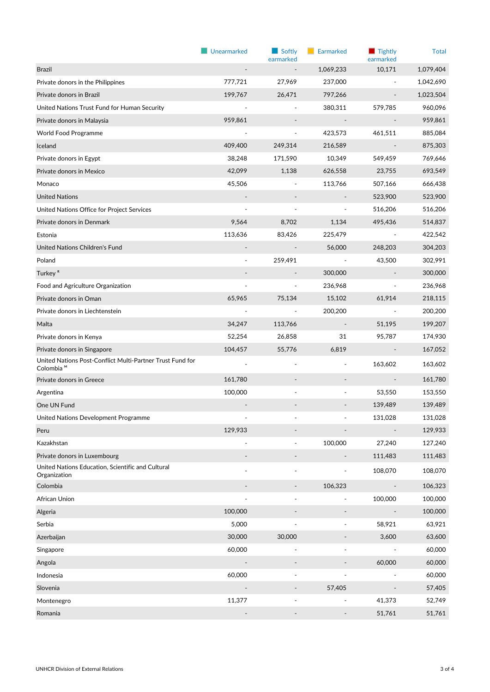|                                                                                    | Unearmarked              | Softly<br>earmarked          | Earmarked                | <b>Tightly</b><br>earmarked  | <b>Total</b> |
|------------------------------------------------------------------------------------|--------------------------|------------------------------|--------------------------|------------------------------|--------------|
| <b>Brazil</b>                                                                      |                          |                              | 1,069,233                | 10,171                       | 1,079,404    |
| Private donors in the Philippines                                                  | 777,721                  | 27,969                       | 237,000                  |                              | 1,042,690    |
| Private donors in Brazil                                                           | 199,767                  | 26,471                       | 797,266                  |                              | 1,023,504    |
| United Nations Trust Fund for Human Security                                       | $\blacksquare$           | $\blacksquare$               | 380,311                  | 579,785                      | 960,096      |
| Private donors in Malaysia                                                         | 959,861                  |                              |                          |                              | 959,861      |
| World Food Programme                                                               |                          | $\blacksquare$               | 423,573                  | 461,511                      | 885,084      |
| Iceland                                                                            | 409,400                  | 249,314                      | 216,589                  | $\overline{\phantom{a}}$     | 875,303      |
| Private donors in Egypt                                                            | 38,248                   | 171,590                      | 10,349                   | 549,459                      | 769,646      |
| Private donors in Mexico                                                           | 42,099                   | 1,138                        | 626,558                  | 23,755                       | 693,549      |
| Monaco                                                                             | 45,506                   |                              | 113,766                  | 507,166                      | 666,438      |
| <b>United Nations</b>                                                              |                          |                              |                          | 523,900                      | 523,900      |
| United Nations Office for Project Services                                         |                          |                              |                          | 516,206                      | 516,206      |
| Private donors in Denmark                                                          | 9,564                    | 8,702                        | 1,134                    | 495,436                      | 514,837      |
| Estonia                                                                            | 113,636                  | 83,426                       | 225,479                  | $\overline{\phantom{a}}$     | 422,542      |
| United Nations Children's Fund                                                     |                          |                              | 56,000                   | 248,203                      | 304,203      |
| Poland                                                                             | $\overline{\phantom{a}}$ | 259,491                      | $\overline{\phantom{a}}$ | 43,500                       | 302,991      |
| Turkey <sup>R</sup>                                                                |                          | $\overline{\phantom{a}}$     | 300,000                  |                              | 300,000      |
| Food and Agriculture Organization                                                  | $\frac{1}{2}$            | $\overline{\phantom{a}}$     | 236,968                  | $\overline{\phantom{a}}$     | 236,968      |
| Private donors in Oman                                                             | 65,965                   | 75,134                       | 15,102                   | 61,914                       | 218,115      |
| Private donors in Liechtenstein                                                    |                          |                              | 200,200                  |                              | 200,200      |
| Malta                                                                              | 34,247                   | 113,766                      | $\overline{\phantom{a}}$ | 51,195                       | 199,207      |
| Private donors in Kenya                                                            | 52,254                   | 26,858                       | 31                       | 95,787                       | 174,930      |
| Private donors in Singapore                                                        | 104,457                  | 55,776                       | 6,819                    | $\overline{\phantom{a}}$     | 167,052      |
| United Nations Post-Conflict Multi-Partner Trust Fund for<br>Colombia <sup>M</sup> | ÷,                       | $\overline{\phantom{a}}$     | $\overline{\phantom{a}}$ | 163,602                      | 163,602      |
| Private donors in Greece                                                           | 161,780                  |                              |                          |                              | 161,780      |
| Argentina                                                                          | 100,000                  |                              |                          | 53,550                       | 153,550      |
| One UN Fund                                                                        |                          |                              |                          | 139,489                      | 139,489      |
| United Nations Development Programme                                               |                          |                              |                          | 131,028                      | 131,028      |
| Peru                                                                               | 129,933                  |                              |                          |                              | 129,933      |
| Kazakhstan                                                                         |                          | $\frac{1}{2}$                | 100,000                  | 27,240                       | 127,240      |
| Private donors in Luxembourg                                                       |                          |                              |                          | 111,483                      | 111,483      |
| United Nations Education, Scientific and Cultural<br>Organization                  |                          | ÷,                           |                          | 108,070                      | 108,070      |
| Colombia                                                                           |                          | $\qquad \qquad \blacksquare$ | 106,323                  |                              | 106,323      |
| African Union                                                                      |                          |                              |                          | 100,000                      | 100,000      |
| Algeria                                                                            | 100,000                  |                              |                          | $\qquad \qquad \blacksquare$ | 100,000      |
| Serbia                                                                             | 5,000                    |                              | $\overline{\phantom{a}}$ | 58,921                       | 63,921       |
| Azerbaijan                                                                         | 30,000                   | 30,000                       |                          | 3,600                        | 63,600       |
| Singapore                                                                          | 60,000                   |                              |                          |                              | 60,000       |
| Angola                                                                             |                          |                              |                          | 60,000                       | 60,000       |
| Indonesia                                                                          | 60,000                   | ÷                            | $\overline{\phantom{a}}$ |                              | 60,000       |
| Slovenia                                                                           |                          |                              | 57,405                   |                              | 57,405       |
| Montenegro                                                                         | 11,377                   |                              |                          | 41,373                       | 52,749       |
| Romania                                                                            |                          | $\centerdot$                 |                          | 51,761                       | 51,761       |